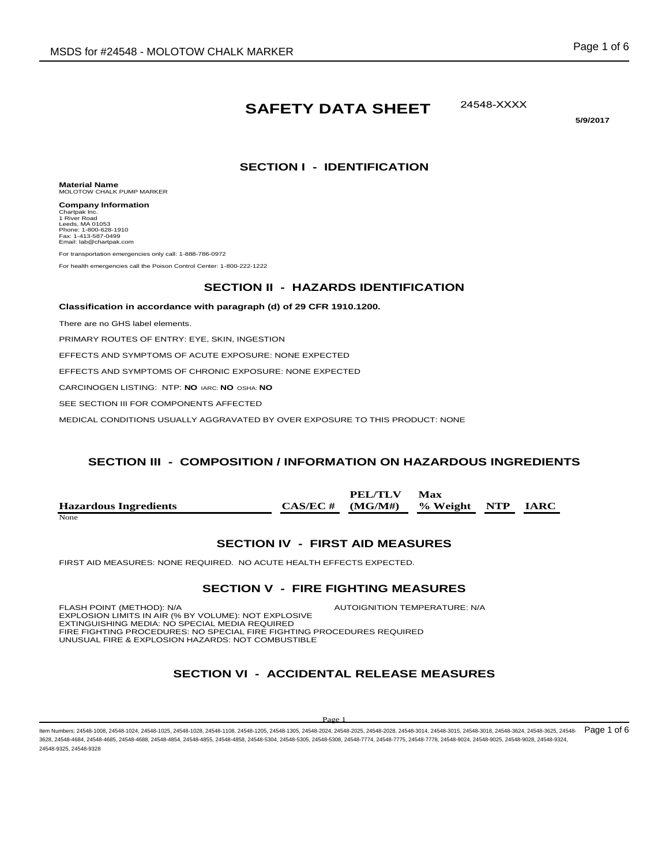# **SAFETY DATA SHEET**

24548-XXXX

**5/9/2017** 

## **SECTION I - IDENTIFICATION**

**Material Name** MOLOTOW CHALK PUMP MARKER

**Company Information** Chartpak Inc. 1 River Road Leeds, MA 01053 Phone: 1-800-628-1910 Fax: 1-413-587-0499 Email: lab@chartpak.com

For transportation emergencies only call: 1-888-786-0972

For health emergencies call the Poison Control Center: 1-800-222-1222

### **SECTION II - HAZARDS IDENTIFICATION**

**Classification in accordance with paragraph (d) of 29 CFR 1910.1200.**

There are no GHS label elements.

PRIMARY ROUTES OF ENTRY: EYE, SKIN, INGESTION

EFFECTS AND SYMPTOMS OF ACUTE EXPOSURE: NONE EXPECTED

EFFECTS AND SYMPTOMS OF CHRONIC EXPOSURE: NONE EXPECTED

CARCINOGEN LISTING: NTP: **NO** IARC: **NO** OSHA: **NO**

SEE SECTION III FOR COMPONENTS AFFECTED

MEDICAL CONDITIONS USUALLY AGGRAVATED BY OVER EXPOSURE TO THIS PRODUCT: NONE

## **SECTION III - COMPOSITION / INFORMATION ON HAZARDOUS INGREDIENTS**

|                              | PEL/TLV                                | Max |  |
|------------------------------|----------------------------------------|-----|--|
| <b>Hazardous Ingredients</b> | $CAS/EC \# (MG/M\#)$ % Weight NTP IARC |     |  |
| None                         |                                        |     |  |

#### **SECTION IV - FIRST AID MEASURES**

FIRST AID MEASURES: NONE REQUIRED. NO ACUTE HEALTH EFFECTS EXPECTED.

#### **SECTION V - FIRE FIGHTING MEASURES**

FLASH POINT (METHOD): N/A **AUTOIGNITION TEMPERATURE: N/A** EXPLOSION LIMITS IN AIR (% BY VOLUME): NOT EXPLOSIVE EXTINGUISHING MEDIA: NO SPECIAL MEDIA REQUIRED FIRE FIGHTING PROCEDURES: NO SPECIAL FIRE FIGHTING PROCEDURES REQUIRED UNUSUAL FIRE & EXPLOSION HAZARDS: NOT COMBUSTIBLE

## **SECTION VI - ACCIDENTAL RELEASE MEASURES**

#### Pag

Item Numbers: 24548-1008, 24548-1024, 24548-1025, 24548-1028, 24548-1108, 24548-1205, 24548-1305, 24548-2024, 24548-2028, 24548-3014, 24548-3015, 24548-3018, 24548-3018, 24548-3018, 24548-3018, 24548-3018, 24548-3018, 2454 3628, 24548-4684, 24548-4685, 24548-4688, 24548-4854, 24548-4855, 24548-4858, 24548-5304, 24548-5305, 24548-5308, 24548-7774, 24548-7775, 24548-7778, 24548-9024, 24548-9025, 24548-9028, 24548-9324, 24548-9325, 24548-9328 Page 1 of 6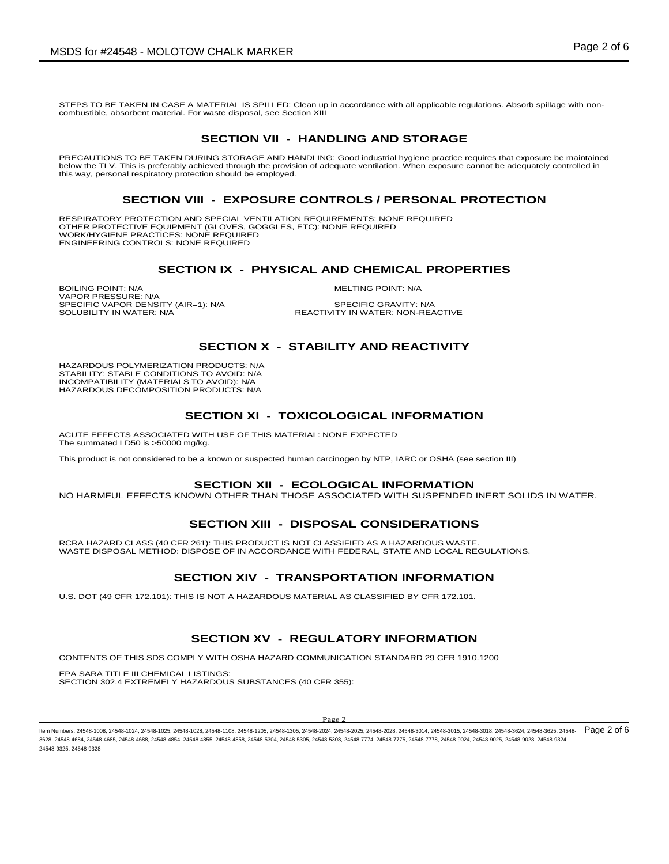STEPS TO BE TAKEN IN CASE A MATERIAL IS SPILLED: Clean up in accordance with all applicable regulations. Absorb spillage with noncombustible, absorbent material. For waste disposal, see Section XIII

## **SECTION VII - HANDLING AND STORAGE**

PRECAUTIONS TO BE TAKEN DURING STORAGE AND HANDLING: Good industrial hygiene practice requires that exposure be maintained below the TLV. This is preferably achieved through the provision of adequate ventilation. When exposure cannot be adequately controlled in this way, personal respiratory protection should be employed.

#### **SECTION VIII - EXPOSURE CONTROLS / PERSONAL PROTECTION**

RESPIRATORY PROTECTION AND SPECIAL VENTILATION REQUIREMENTS: NONE REQUIRED OTHER PROTECTIVE EQUIPMENT (GLOVES, GOGGLES, ETC): NONE REQUIRED WORK/HYGIENE PRACTICES: NONE REQUIRED ENGINEERING CONTROLS: NONE REQUIRED

## **SECTION IX - PHYSICAL AND CHEMICAL PROPERTIES**

BOILING POINT: N/A MELTING POINT: N/A VAPOR PRESSURE: N/A SPECIFIC VAPOR DENSITY (AIR=1): N/A SPECIFIC GRAVITY: N/A

REACTIVITY IN WATER: NON-REACTIVE

#### **SECTION X - STABILITY AND REACTIVITY**

HAZARDOUS POLYMERIZATION PRODUCTS: N/A STABILITY: STABLE CONDITIONS TO AVOID: N/A INCOMPATIBILITY (MATERIALS TO AVOID): N/A HAZARDOUS DECOMPOSITION PRODUCTS: N/A

## **SECTION XI - TOXICOLOGICAL INFORMATION**

ACUTE EFFECTS ASSOCIATED WITH USE OF THIS MATERIAL: NONE EXPECTED The summated LD50 is >50000 mg/kg.

This product is not considered to be a known or suspected human carcinogen by NTP, IARC or OSHA (see section III)

#### **SECTION XII - ECOLOGICAL INFORMATION**

NO HARMFUL EFFECTS KNOWN OTHER THAN THOSE ASSOCIATED WITH SUSPENDED INERT SOLIDS IN WATER.

## **SECTION XIII - DISPOSAL CONSIDERATIONS**

RCRA HAZARD CLASS (40 CFR 261): THIS PRODUCT IS NOT CLASSIFIED AS A HAZARDOUS WASTE. WASTE DISPOSAL METHOD: DISPOSE OF IN ACCORDANCE WITH FEDERAL, STATE AND LOCAL REGULATIONS.

## **SECTION XIV - TRANSPORTATION INFORMATION**

U.S. DOT (49 CFR 172.101): THIS IS NOT A HAZARDOUS MATERIAL AS CLASSIFIED BY CFR 172.101.

## **SECTION XV - REGULATORY INFORMATION**

CONTENTS OF THIS SDS COMPLY WITH OSHA HAZARD COMMUNICATION STANDARD 29 CFR 1910.1200

EPA SARA TITLE III CHEMICAL LISTINGS: SECTION 302.4 EXTREMELY HAZARDOUS SUBSTANCES (40 CFR 355):

#### Page 2

ltem Numbers: 24548-1008, 24548-1024, 24548-1025, 24548-1028, 24548-1108, 24548-1205, 24548-1305, 24548-2024, 24548-2028, 24548-3014, 24548-3016, 24548-3018, 24548-3018, 24548-3624, 24548-3625, 24548-3625, 24548-3028, 2454 3628, 24548-4684, 24548-4685, 24548-4688, 24548-4854, 24548-4855, 24548-4858, 24548-5304, 24548-5305, 24548-5308, 24548-7774, 24548-7775, 24548-7778, 24548-9024, 24548-9025, 24548-9028, 24548-9324, 24548-9325, 24548-9328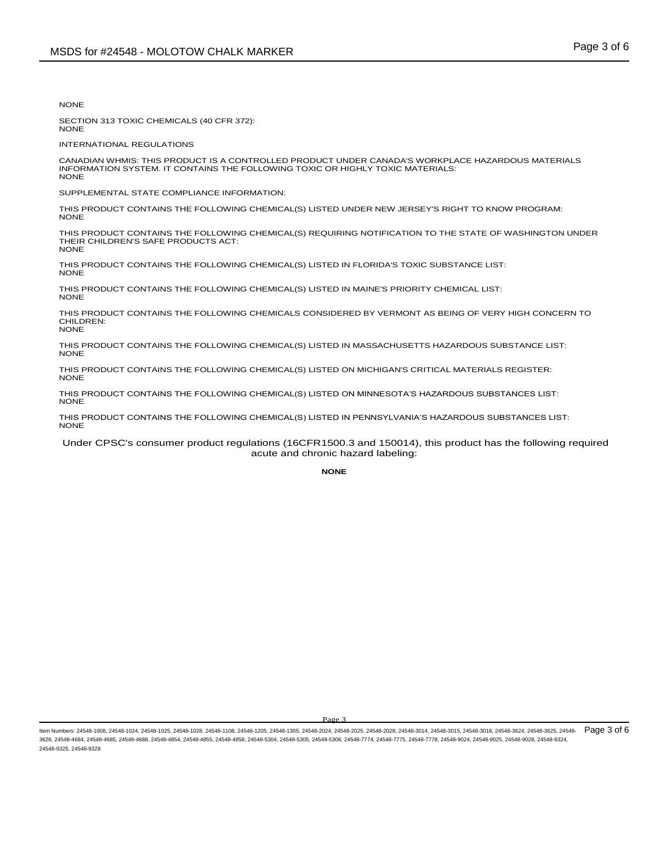NONE

SECTION 313 TOXIC CHEMICALS (40 CFR 372): NONE

INTERNATIONAL REGULATIONS

CANADIAN WHMIS: THIS PRODUCT IS A CONTROLLED PRODUCT UNDER CANADA'S WORKPLACE HAZARDOUS MATERIALS INFORMATION SYSTEM. IT CONTAINS THE FOLLOWING TOXIC OR HIGHLY TOXIC MATERIALS: **NONE** 

SUPPLEMENTAL STATE COMPLIANCE INFORMATION:

THIS PRODUCT CONTAINS THE FOLLOWING CHEMICAL(S) LISTED UNDER NEW JERSEY'S RIGHT TO KNOW PROGRAM: **NONE** 

THIS PRODUCT CONTAINS THE FOLLOWING CHEMICAL(S) REQUIRING NOTIFICATION TO THE STATE OF WASHINGTON UNDER THEIR CHILDREN'S SAFE PRODUCTS ACT: NONE

THIS PRODUCT CONTAINS THE FOLLOWING CHEMICAL(S) LISTED IN FLORIDA'S TOXIC SUBSTANCE LIST: NONE

THIS PRODUCT CONTAINS THE FOLLOWING CHEMICAL(S) LISTED IN MAINE'S PRIORITY CHEMICAL LIST: NONE

THIS PRODUCT CONTAINS THE FOLLOWING CHEMICALS CONSIDERED BY VERMONT AS BEING OF VERY HIGH CONCERN TO CHILDREN: NONE

THIS PRODUCT CONTAINS THE FOLLOWING CHEMICAL(S) LISTED IN MASSACHUSETTS HAZARDOUS SUBSTANCE LIST: **NONE** 

THIS PRODUCT CONTAINS THE FOLLOWING CHEMICAL(S) LISTED ON MICHIGAN'S CRITICAL MATERIALS REGISTER: NONE

THIS PRODUCT CONTAINS THE FOLLOWING CHEMICAL(S) LISTED ON MINNESOTA'S HAZARDOUS SUBSTANCES LIST: **NONE** 

THIS PRODUCT CONTAINS THE FOLLOWING CHEMICAL(S) LISTED IN PENNSYLVANIA'S HAZARDOUS SUBSTANCES LIST: NONE

Under CPSC's consumer product regulations (16CFR1500.3 and 150014), this product has the following required acute and chronic hazard labeling:

**NONE**

ltem Numbers: 24548-1008, 24548-1024, 24548-1025, 24548-1028, 24548-1108, 24548-1205, 24548-2024, 24548-2025, 24548-2028, 24548-3014, 24548-3016, 24548-3018, 24548-3018, 24548-3018, 24548-3624, 24548-3625, 24548-3028, 2454 3628, 24548-4684, 24548-4685, 24548-4688, 24548-4854, 24548-4855, 24548-4858, 24548-5304, 24548-5305, 24548-5308, 24548-7774, 24548-7775, 24548-7778, 24548-9024, 24548-9025, 24548-9028, 24548-9324, 24548-9325, 24548-9328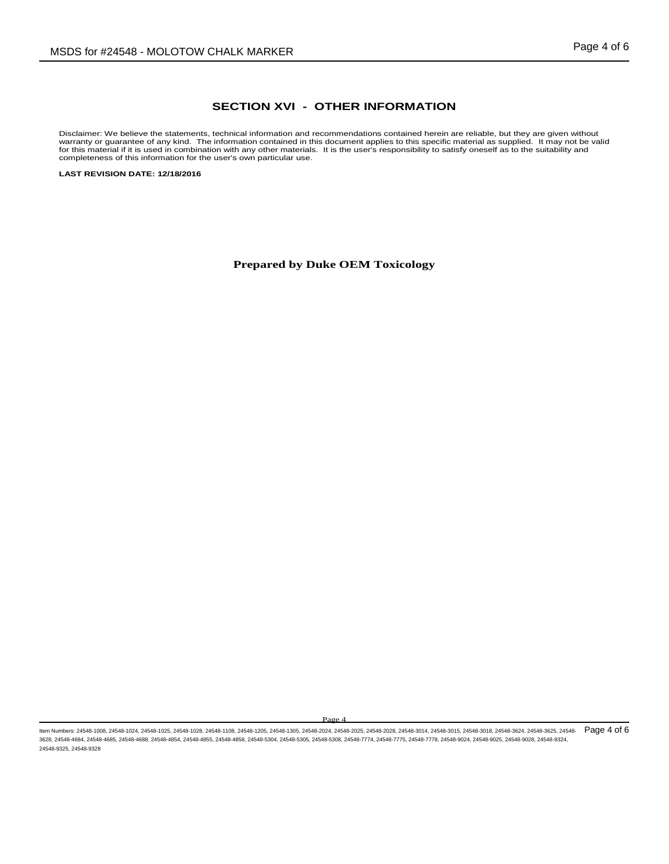### **SECTION XVI - OTHER INFORMATION**

Disclaimer: We believe the statements, technical information and recommendations contained herein are reliable, but they are given without warranty or guarantee of any kind. The information contained in this document applies to this specific material as supplied. It may not be valid<br>for this material if it is used in combination with any other materials. It i completeness of this information for the user's own particular use.

**LAST REVISION DATE: 12/18/2016**

**Prepared by Duke OEM Toxicology**

ltem Numbers: 24548-1008, 24548-1024, 24548-1025, 24548-1028, 24548-1108, 24548-1205, 24548-1305, 24548-2024, 24548-2028, 24548-3014, 24548-3016, 24548-3018, 24548-3018, 24548-3624, 24548-3625, 24548-3625, 24548-3018, 2454 3628, 24548-4684, 24548-4685, 24548-4688, 24548-4854, 24548-4855, 24548-4858, 24548-5304, 24548-5305, 24548-5308, 24548-7774, 24548-7775, 24548-7778, 24548-9024, 24548-9025, 24548-9028, 24548-9324, 24548-9325, 24548-9328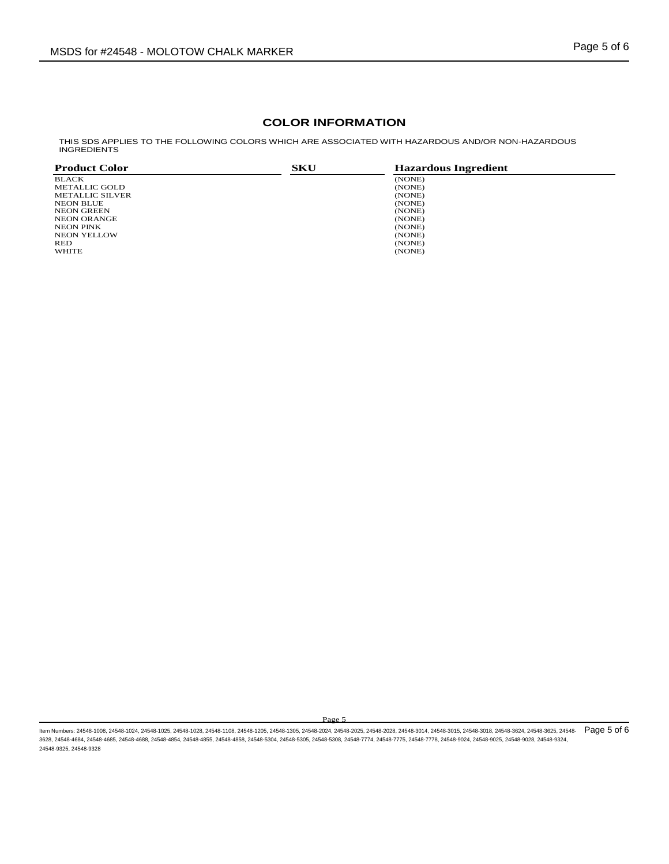## **COLOR INFORMATION**

THIS SDS APPLIES TO THE FOLLOWING COLORS WHICH ARE ASSOCIATED WITH HAZARDOUS AND/OR NON-HAZARDOUS<br>INGREDIENTS

| <b>Product Color</b> | <b>SKU</b> | <b>Hazardous Ingredient</b> |  |
|----------------------|------------|-----------------------------|--|
| <b>BLACK</b>         |            | (NONE)                      |  |
| METALLIC GOLD        |            | (NONE)                      |  |
| METALLIC SILVER      |            | (NONE)                      |  |
| <b>NEON BLUE</b>     |            | (NONE)                      |  |
| NEON GREEN           |            | (NONE)                      |  |
| <b>NEON ORANGE</b>   |            | (NONE)                      |  |
| NEON PINK            |            | (NONE)                      |  |
| <b>NEON YELLOW</b>   |            | (NONE)                      |  |
| RED                  |            | (NONE)                      |  |
| <b>WHITE</b>         |            | (NONE)                      |  |

ltem Numbers: 24548-1008, 24548-1024, 24548-1025, 24548-1028, 24548-1108, 24548-1205, 24548-1305, 24548-2024, 24548-2028, 24548-3014, 24548-3016, 24548-3018, 24548-3018, 24548-3624, 24548-3625, 24548-3625, 24548-3018, 2454 3628, 24548-4684, 24548-4685, 24548-4688, 24548-4854, 24548-4855, 24548-4858, 24548-5304, 24548-5305, 24548-5308, 24548-7774, 24548-7775, 24548-7778, 24548-9024, 24548-9025, 24548-9028, 24548-9324, 24548-9325, 24548-9328